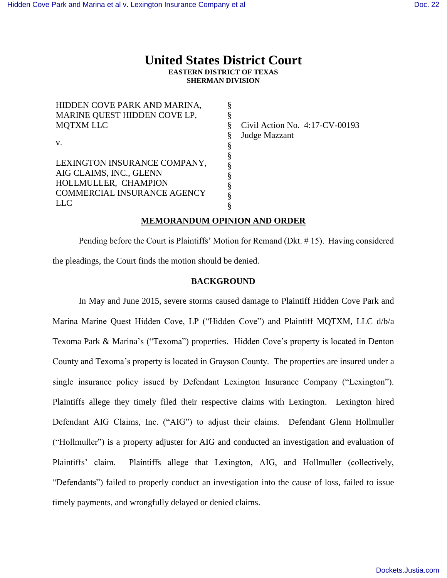# **United States District Court EASTERN DISTRICT OF TEXAS SHERMAN DIVISION**

HIDDEN COVE PARK AND MARINA, MARINE QUEST HIDDEN COVE LP, MQTXM LLC v. LEXINGTON INSURANCE COMPANY, AIG CLAIMS, INC., GLENN HOLLMULLER, CHAMPION COMMERCIAL INSURANCE AGENCY LLC § § § § § § § § § § §

Civil Action No. 4:17-CV-00193 Judge Mazzant

## **MEMORANDUM OPINION AND ORDER**

Pending before the Court is Plaintiffs' Motion for Remand (Dkt. # 15). Having considered the pleadings, the Court finds the motion should be denied.

### **BACKGROUND**

In May and June 2015, severe storms caused damage to Plaintiff Hidden Cove Park and Marina Marine Quest Hidden Cove, LP ("Hidden Cove") and Plaintiff MQTXM, LLC d/b/a Texoma Park & Marina's ("Texoma") properties. Hidden Cove's property is located in Denton County and Texoma's property is located in Grayson County. The properties are insured under a single insurance policy issued by Defendant Lexington Insurance Company ("Lexington"). Plaintiffs allege they timely filed their respective claims with Lexington. Lexington hired Defendant AIG Claims, Inc. ("AIG") to adjust their claims. Defendant Glenn Hollmuller ("Hollmuller") is a property adjuster for AIG and conducted an investigation and evaluation of Plaintiffs' claim. Plaintiffs allege that Lexington, AIG, and Hollmuller (collectively, "Defendants") failed to properly conduct an investigation into the cause of loss, failed to issue timely payments, and wrongfully delayed or denied claims.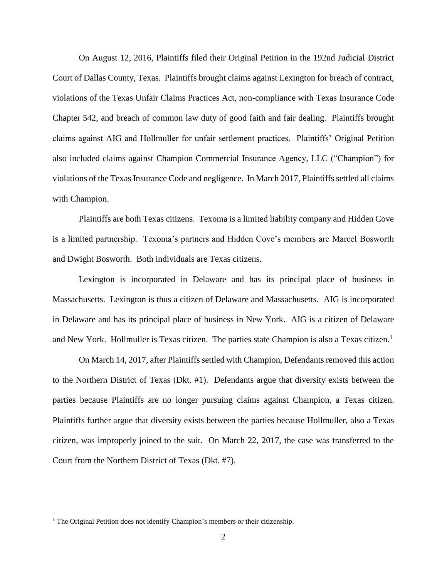On August 12, 2016, Plaintiffs filed their Original Petition in the 192nd Judicial District Court of Dallas County, Texas. Plaintiffs brought claims against Lexington for breach of contract, violations of the Texas Unfair Claims Practices Act, non-compliance with Texas Insurance Code Chapter 542, and breach of common law duty of good faith and fair dealing. Plaintiffs brought claims against AIG and Hollmuller for unfair settlement practices. Plaintiffs' Original Petition also included claims against Champion Commercial Insurance Agency, LLC ("Champion") for violations of the Texas Insurance Code and negligence. In March 2017, Plaintiffs settled all claims with Champion.

Plaintiffs are both Texas citizens. Texoma is a limited liability company and Hidden Cove is a limited partnership. Texoma's partners and Hidden Cove's members are Marcel Bosworth and Dwight Bosworth. Both individuals are Texas citizens.

Lexington is incorporated in Delaware and has its principal place of business in Massachusetts. Lexington is thus a citizen of Delaware and Massachusetts. AIG is incorporated in Delaware and has its principal place of business in New York. AIG is a citizen of Delaware and New York. Hollmuller is Texas citizen. The parties state Champion is also a Texas citizen.<sup>1</sup>

On March 14, 2017, after Plaintiffs settled with Champion, Defendants removed this action to the Northern District of Texas (Dkt. #1). Defendants argue that diversity exists between the parties because Plaintiffs are no longer pursuing claims against Champion, a Texas citizen. Plaintiffs further argue that diversity exists between the parties because Hollmuller, also a Texas citizen, was improperly joined to the suit. On March 22, 2017, the case was transferred to the Court from the Northern District of Texas (Dkt. #7).

 $\overline{a}$ 

<sup>&</sup>lt;sup>1</sup> The Original Petition does not identify Champion's members or their citizenship.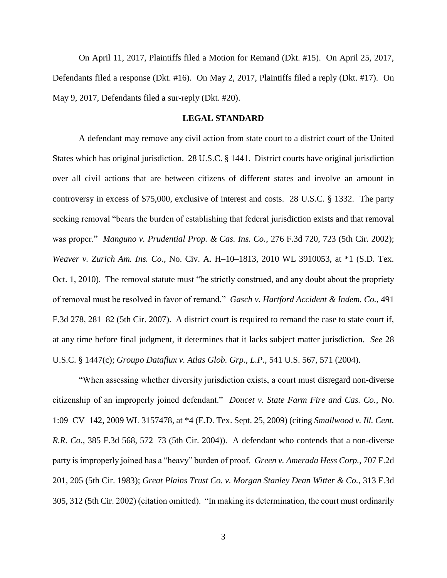On April 11, 2017, Plaintiffs filed a Motion for Remand (Dkt. #15). On April 25, 2017, Defendants filed a response (Dkt. #16). On May 2, 2017, Plaintiffs filed a reply (Dkt. #17). On May 9, 2017, Defendants filed a sur-reply (Dkt. #20).

### **LEGAL STANDARD**

A defendant may remove any civil action from state court to a district court of the United States which has original jurisdiction. 28 U.S.C. § 1441. District courts have original jurisdiction over all civil actions that are between citizens of different states and involve an amount in controversy in excess of \$75,000, exclusive of interest and costs. 28 U.S.C. § 1332. The party seeking removal "bears the burden of establishing that federal jurisdiction exists and that removal was proper." *Manguno v. Prudential Prop. & Cas. Ins. Co.*, 276 F.3d 720, 723 (5th Cir. 2002); *Weaver v. Zurich Am. Ins. Co.*, No. Civ. A. H–10–1813, 2010 WL 3910053, at \*1 (S.D. Tex. Oct. 1, 2010). The removal statute must "be strictly construed, and any doubt about the propriety of removal must be resolved in favor of remand." *Gasch v. Hartford Accident & Indem. Co.*, 491 F.3d 278, 281–82 (5th Cir. 2007). A district court is required to remand the case to state court if, at any time before final judgment, it determines that it lacks subject matter jurisdiction. *See* 28 U.S.C. § 1447(c); *Groupo Dataflux v. Atlas Glob. Grp., L.P.*, 541 U.S. 567, 571 (2004).

"When assessing whether diversity jurisdiction exists, a court must disregard non-diverse citizenship of an improperly joined defendant." *Doucet v. State Farm Fire and Cas. Co.*, No. 1:09–CV–142, 2009 WL 3157478, at \*4 (E.D. Tex. Sept. 25, 2009) (citing *Smallwood v. Ill. Cent. R.R. Co.*, 385 F.3d 568, 572–73 (5th Cir. 2004)). A defendant who contends that a non-diverse party is improperly joined has a "heavy" burden of proof. *Green v. Amerada Hess Corp.*, 707 F.2d 201, 205 (5th Cir. 1983); *Great Plains Trust Co. v. Morgan Stanley Dean Witter & Co.*, 313 F.3d 305, 312 (5th Cir. 2002) (citation omitted). "In making its determination, the court must ordinarily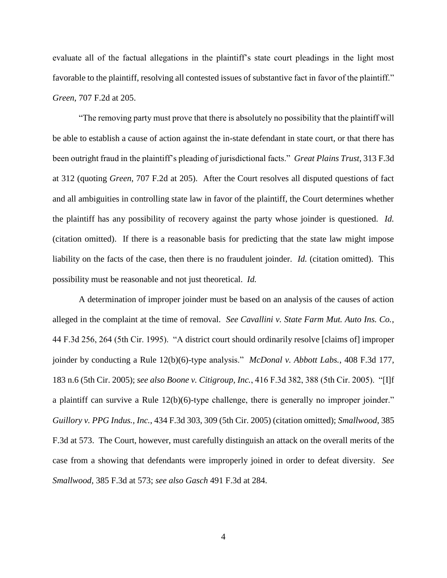evaluate all of the factual allegations in the plaintiff's state court pleadings in the light most favorable to the plaintiff, resolving all contested issues of substantive fact in favor of the plaintiff." *Green*, 707 F.2d at 205.

"The removing party must prove that there is absolutely no possibility that the plaintiff will be able to establish a cause of action against the in-state defendant in state court, or that there has been outright fraud in the plaintiff's pleading of jurisdictional facts." *Great Plains Trust*, 313 F.3d at 312 (quoting *Green*, 707 F.2d at 205). After the Court resolves all disputed questions of fact and all ambiguities in controlling state law in favor of the plaintiff, the Court determines whether the plaintiff has any possibility of recovery against the party whose joinder is questioned. *Id.* (citation omitted). If there is a reasonable basis for predicting that the state law might impose liability on the facts of the case, then there is no fraudulent joinder. *Id.* (citation omitted). This possibility must be reasonable and not just theoretical. *Id.*

A determination of improper joinder must be based on an analysis of the causes of action alleged in the complaint at the time of removal. *See Cavallini v. State Farm Mut. Auto Ins. Co.*, 44 F.3d 256, 264 (5th Cir. 1995). "A district court should ordinarily resolve [claims of] improper joinder by conducting a Rule 12(b)(6)-type analysis." *McDonal v. Abbott Labs.*, 408 F.3d 177, 183 n.6 (5th Cir. 2005); *see also Boone v. Citigroup, Inc.*, 416 F.3d 382, 388 (5th Cir. 2005). "[I]f a plaintiff can survive a Rule 12(b)(6)-type challenge, there is generally no improper joinder." *Guillory v. PPG Indus., Inc.*, 434 F.3d 303, 309 (5th Cir. 2005) (citation omitted); *Smallwood*, 385 F.3d at 573. The Court, however, must carefully distinguish an attack on the overall merits of the case from a showing that defendants were improperly joined in order to defeat diversity. *See Smallwood*, 385 F.3d at 573; *see also Gasch* 491 F.3d at 284.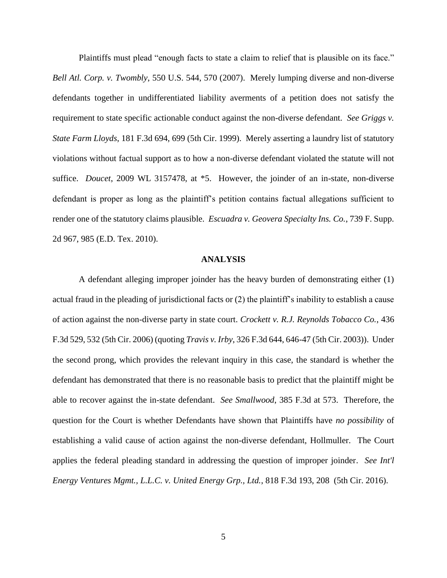Plaintiffs must plead "enough facts to state a claim to relief that is plausible on its face." *Bell Atl. Corp. v. Twombly*, 550 U.S. 544, 570 (2007). Merely lumping diverse and non-diverse defendants together in undifferentiated liability averments of a petition does not satisfy the requirement to state specific actionable conduct against the non-diverse defendant. *See Griggs v. State Farm Lloyds*, 181 F.3d 694, 699 (5th Cir. 1999). Merely asserting a laundry list of statutory violations without factual support as to how a non-diverse defendant violated the statute will not suffice. *Doucet*, 2009 WL 3157478, at \*5. However, the joinder of an in-state, non-diverse defendant is proper as long as the plaintiff's petition contains factual allegations sufficient to render one of the statutory claims plausible. *Escuadra v. Geovera Specialty Ins. Co.*, 739 F. Supp. 2d 967, 985 (E.D. Tex. 2010).

#### **ANALYSIS**

A defendant alleging improper joinder has the heavy burden of demonstrating either (1) actual fraud in the pleading of jurisdictional facts or (2) the plaintiff's inability to establish a cause of action against the non-diverse party in state court. *Crockett v. R.J. Reynolds Tobacco Co.*, 436 F.3d 529, 532 (5th Cir. 2006) (quoting *Travis v. Irby*, 326 F.3d 644, 646-47 (5th Cir. 2003)). Under the second prong, which provides the relevant inquiry in this case, the standard is whether the defendant has demonstrated that there is no reasonable basis to predict that the plaintiff might be able to recover against the in-state defendant. *See Smallwood*, 385 F.3d at 573. Therefore, the question for the Court is whether Defendants have shown that Plaintiffs have *no possibility* of establishing a valid cause of action against the non-diverse defendant, Hollmuller. The Court applies the federal pleading standard in addressing the question of improper joinder. *See Int'l Energy Ventures Mgmt., L.L.C. v. United Energy Grp., Ltd.*, 818 F.3d 193, 208 (5th Cir. 2016).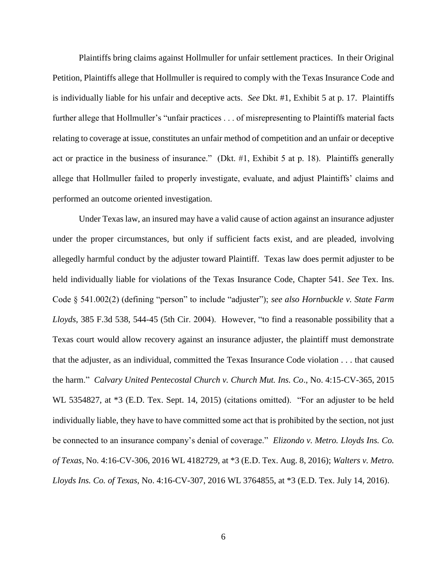Plaintiffs bring claims against Hollmuller for unfair settlement practices. In their Original Petition, Plaintiffs allege that Hollmuller is required to comply with the Texas Insurance Code and is individually liable for his unfair and deceptive acts. *See* Dkt. #1, Exhibit 5 at p. 17. Plaintiffs further allege that Hollmuller's "unfair practices . . . of misrepresenting to Plaintiffs material facts relating to coverage at issue, constitutes an unfair method of competition and an unfair or deceptive act or practice in the business of insurance." (Dkt. #1, Exhibit 5 at p. 18). Plaintiffs generally allege that Hollmuller failed to properly investigate, evaluate, and adjust Plaintiffs' claims and performed an outcome oriented investigation.

Under Texas law, an insured may have a valid cause of action against an insurance adjuster under the proper circumstances, but only if sufficient facts exist, and are pleaded, involving allegedly harmful conduct by the adjuster toward Plaintiff. Texas law does permit adjuster to be held individually liable for violations of the Texas Insurance Code, Chapter 541. *See* Tex. Ins. Code § 541.002(2) (defining "person" to include "adjuster"); *see also Hornbuckle v. State Farm Lloyds*, 385 F.3d 538, 544-45 (5th Cir. 2004). However, "to find a reasonable possibility that a Texas court would allow recovery against an insurance adjuster, the plaintiff must demonstrate that the adjuster, as an individual, committed the Texas Insurance Code violation . . . that caused the harm." *Calvary United Pentecostal Church v. Church Mut. Ins. Co*., No. 4:15-CV-365, 2015 WL 5354827, at \*3 (E.D. Tex. Sept. 14, 2015) (citations omitted). "For an adjuster to be held individually liable, they have to have committed some act that is prohibited by the section, not just be connected to an insurance company's denial of coverage." *Elizondo v. Metro. Lloyds Ins. Co. of Texas*, No. 4:16-CV-306, 2016 WL 4182729, at \*3 (E.D. Tex. Aug. 8, 2016); *Walters v. Metro. Lloyds Ins. Co. of Texas*, No. 4:16-CV-307, 2016 WL 3764855, at \*3 (E.D. Tex. July 14, 2016).